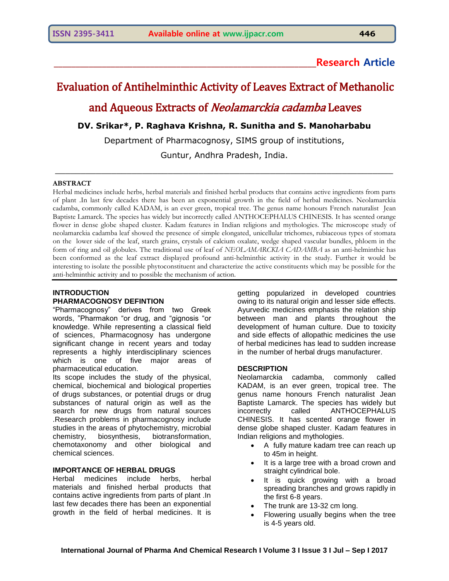# **\_\_\_\_\_\_\_\_\_\_\_\_\_\_\_\_\_\_\_\_\_\_\_\_\_\_\_\_\_\_\_\_\_\_\_\_\_\_\_\_\_\_\_\_\_\_\_\_\_\_\_\_\_\_\_\_\_\_\_\_Research Article**

# Evaluation of Antihelminthic Activity of Leaves Extract of Methanolic

and Aqueous Extracts of Neolamarckia cadamba Leaves

# **DV. Srikar\*, P. Raghava Krishna, R. Sunitha and S. Manoharbabu**

Department of Pharmacognosy, SIMS group of institutions, Guntur, Andhra Pradesh, India.

 $\_$  , and the set of the set of the set of the set of the set of the set of the set of the set of the set of the set of the set of the set of the set of the set of the set of the set of the set of the set of the set of th

#### **ABSTRACT**

Herbal medicines include herbs, herbal materials and finished herbal products that contains active ingredients from parts of plant .In last few decades there has been an exponential growth in the field of herbal medicines. Neolamarckia cadamba, commonly called KADAM, is an ever green, tropical tree. The genus name honours French naturalist Jean Baptiste Lamarck. The species has widely but incorrectly called ANTHOCEPHALUS CHINESIS. It has scented orange flower in dense globe shaped cluster. Kadam features in Indian religions and mythologies. The microscope study of neolamarckia cadamba leaf showed the presence of simple elongated, unicellular trichomes, rubiaceous types of stomata on the lower side of the leaf, starch grains, crystals of calcium oxalate, wedge shaped vascular bundles, phloem in the form of ring and oil globules. The traditional use of leaf of *NEOLAMARCKIA CADAMBA* as an anti-helminthic has been conformed as the leaf extract displayed profound anti-helminthic activity in the study. Further it would be interesting to isolate the possible phytoconstituent and characterize the active constituents which may be possible for the anti-helminthic activity and to possible the mechanism of action.

# **INTRODUCTION PHARMACOGNOSY DEFINTION**

"Pharmacognosy" derives from two Greek words, "Pharmakon "or drug, and "gignosis "or knowledge. While representing a classical field of sciences, Pharmacognosy has undergone significant change in recent years and today represents a highly interdisciplinary sciences which is one of five major areas of pharmaceutical education.

Its scope includes the study of the physical, chemical, biochemical and biological properties of drugs substances, or potential drugs or drug substances of natural origin as well as the search for new drugs from natural sources .Research problems in pharmacognosy include studies in the areas of phytochemistry, microbial chemistry, biosynthesis, biotransformation, chemotaxonomy and other biological and chemical sciences.

# **IMPORTANCE OF HERBAL DRUGS**

Herbal medicines include herbs, herbal materials and finished herbal products that contains active ingredients from parts of plant .In last few decades there has been an exponential growth in the field of herbal medicines. It is

getting popularized in developed countries owing to its natural origin and lesser side effects. Ayurvedic medicines emphasis the relation ship between man and plants throughout the development of human culture. Due to toxicity and side effects of allopathic medicines the use of herbal medicines has lead to sudden increase in the number of herbal drugs manufacturer.

#### **DESCRIPTION**

Neolamarckia cadamba, commonly called KADAM, is an ever green, tropical tree. The genus name honours French naturalist Jean Baptiste Lamarck. The species has widely but incorrectly called ANTHOCEPHALUS CHINESIS. It has scented orange flower in dense globe shaped cluster. Kadam features in Indian religions and mythologies.

- A fully mature kadam tree can reach up to 45m in height.
- It is a large tree with a broad crown and straight cylindrical bole.
- It is quick growing with a broad spreading branches and grows rapidly in the first 6-8 years.
- The trunk are 13-32 cm long.
- Flowering usually begins when the tree is 4-5 years old.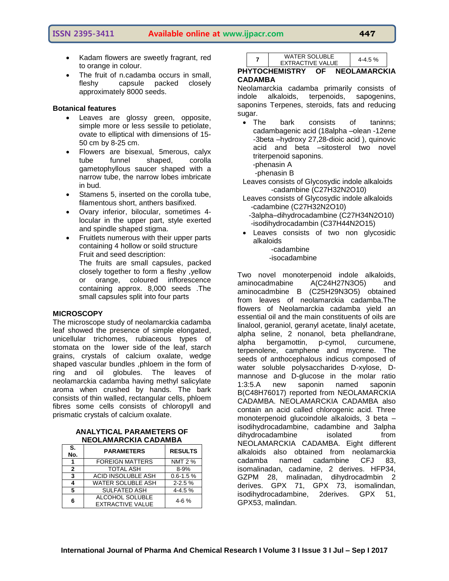**ISSN 2395-3411 Available online at www.ijpacr.com 447**

- Kadam flowers are sweetly fragrant, red to orange in colour.
- The fruit of n.cadamba occurs in small, fleshy capsule packed closely approximately 8000 seeds.

#### **Botanical features**

- Leaves are glossy green, opposite, simple more or less sessile to petiolate, ovate to elliptical with dimensions of 15- 50 cm by 8-25 cm.
- Flowers are bisexual, 5merous, calyx tube funnel shaped, corolla gametophyllous saucer shaped with a narrow tube, the narrow lobes imbricate in bud.
- Stamens 5, inserted on the corolla tube, filamentous short, anthers basifixed.
- Ovary inferior, bilocular, sometimes 4 locular in the upper part, style exerted and spindle shaped stigma.
- Fruitlets numerous with their upper parts containing 4 hollow or soild structure Fruit and seed description:

The fruits are small capsules, packed closely together to form a fleshy ,yellow or orange, coloured inflorescence containing approx. 8,000 seeds .The small capsules split into four parts

# **MICROSCOPY**

The microscope study of neolamarckia cadamba leaf showed the presence of simple elongated, unicellular trichomes, rubiaceous types of stomata on the lower side of the leaf, starch grains, crystals of calcium oxalate, wedge shaped vascular bundles ,phloem in the form of ring and oil globules. The leaves of neolamarckia cadamba having methyl salicylate aroma when crushed by hands. The bark consists of thin walled, rectangular cells, phloem fibres some cells consists of chloropyll and prismatic crystals of calcium oxalate.

#### **ANALYTICAL PARAMETERS OF NEOLAMARCKIA CADAMBA**

| S.<br>No.    | <b>PARAMETERS</b>                          | <b>RESULTS</b> |
|--------------|--------------------------------------------|----------------|
|              | <b>FOREIGN MATTERS</b>                     | <b>NMT 2 %</b> |
| $\mathbf{2}$ | <b>TOTAL ASH</b>                           | $8 - 9%$       |
| 3            | <b>ACID INSOLUBLE ASH</b>                  | $0.6 - 1.5 %$  |
| 4            | <b>WATER SOLUBLE ASH</b>                   | $2 - 2.5%$     |
| 5            | <b>SULFATED ASH</b>                        | $4 - 4.5%$     |
| 6            | ALCOHOL SOLUBLE<br><b>EXTRACTIVE VALUE</b> | $4-6%$         |

| <b>WATER SOLUBLE</b>    |         |
|-------------------------|---------|
| <b>EXTRACTIVE VALUE</b> | 4-4.5 % |

**PHYTOCHEMISTRY OF NEOLAMARCKIA CADAMBA** 

Neolamarckia cadamba primarily consists of indole alkaloids, terpenoids, sapogenins, saponins Terpenes, steroids, fats and reducing sugar.

• The bark consists of taninns: cadambagenic acid (18alpha –olean -12ene -3beta –hydroxy 27,28-dioic acid ), quinovic acid and beta –sitosterol two novel triterpenoid saponins.

-phenasin A

**7**

-phenasin B

Leaves consists of Glycosydic indole alkaloids -cadambine (C27H32N2O10)

- Leaves consists of Glycosydic indole alkaloids -cadambine (C27H32N2O10)
	- -3alpha–dihydrocadambine (C27H34N2O10) -isodihydrocadambin (C37H44N2O15)
- Leaves consists of two non glycosidic alkaloids

 -cadambine -isocadambine

Two novel monoterpenoid indole alkaloids, aminocadmabine A(C24H27N3O5) and aminocadmbine B (C25H29N3O5) obtained from leaves of neolamarckia cadamba.The flowers of Neolamarckia cadamba yield an essential oil and the main constituents of oils are linalool, geraniol, geranyl acetate, linalyl acetate, alpha seline, 2 nonanol, beta phellandrane, alpha bergamottin, p-cymol, curcumene, terpenolene, camphene and mycrene. The seeds of anthocephalous indicus composed of water soluble polysaccharides D-xylose, Dmannose and D-glucose in the molar ratio 1:3:5.A new saponin named saponin B(C48H76017) reported from NEOLAMARCKIA CADAMBA. NEOLAMARCKIA CADAMBA also contain an acid called chlorogenic acid. Three monoterpenoid glucoindole alkaloids, 3 beta – isodihydrocadambine, cadambine and 3alpha dihydrocadambine isolated from NEOLAMARCKIA CADAMBA. Eight different alkaloids also obtained from neolamarckia cadamba named cadambine CFJ 83, isomalinadan, cadamine, 2 derives. HFP34, GZPM 28, malinadan, dihydrocadmbin 2 derives. GPX 71, GPX 73, isomalindan, isodihydrocadambine, 2derives. GPX 51, GPX53, malindan.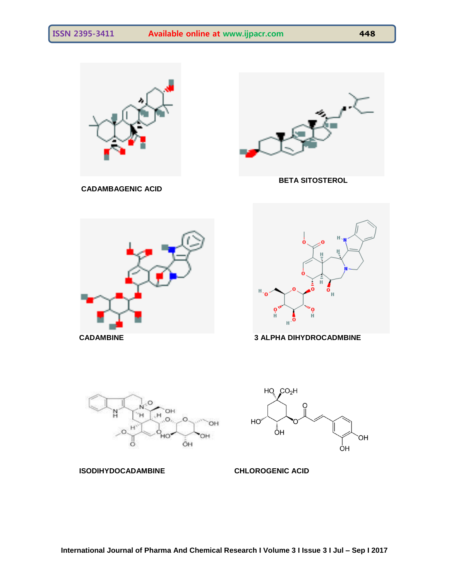









HO<sup>v</sup> ŌΗ OН ÒН

**ISODIHYDOCADAMBINE CHLOROGENIC ACID** 

 $HO$   $CO<sub>2</sub>H$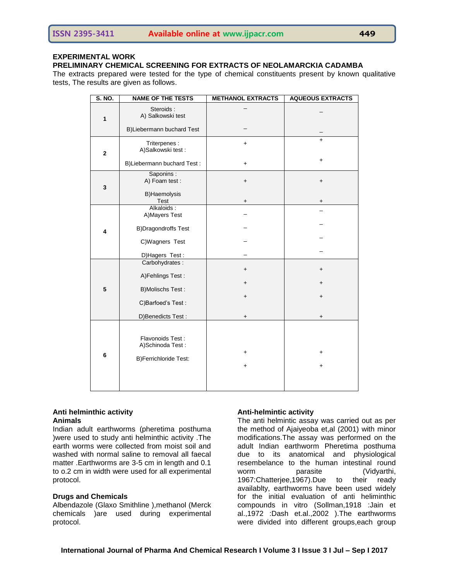# **EXPERIMENTAL WORK**

#### **PRELIMINARY CHEMICAL SCREENING FOR EXTRACTS OF NEOLAMARCKIA CADAMBA**

The extracts prepared were tested for the type of chemical constituents present by known qualitative tests, The results are given as follows.

| S. NO.       | <b>NAME OF THE TESTS</b>             | <b>METHANOL EXTRACTS</b> | <b>AQUEOUS EXTRACTS</b> |
|--------------|--------------------------------------|--------------------------|-------------------------|
| $\mathbf{1}$ | Steroids:<br>A) Salkowski test       |                          |                         |
|              | B)Liebermann buchard Test            |                          |                         |
| $\mathbf 2$  | Triterpenes :<br>A)Salkowski test:   | $\ddot{}$                | $+$                     |
|              | B)Liebermann buchard Test:           | $\ddot{}$                | $\ddot{}$               |
| 3            | Saponins:<br>A) Foam test :          | $\ddot{}$                | $\ddagger$              |
|              | B)Haemolysis<br>Test                 | $\ddot{}$                | +                       |
| 4            | Alkaloids:<br>A) Mayers Test         |                          |                         |
|              | <b>B)Dragondroffs Test</b>           |                          |                         |
|              | C)Wagners Test                       |                          |                         |
|              | D) Hagers Test:                      |                          |                         |
|              | Carbohydrates:                       | $\ddot{}$                | $\ddot{}$               |
|              | A)Fehlings Test:                     |                          |                         |
| 5            | <b>B)Molischs Test:</b>              | $\pmb{+}$                | $\ddot{}$               |
|              | C)Barfoed's Test:                    | $\ddot{}$                | $\ddot{}$               |
|              | D)Benedicts Test:                    | $\ddot{}$                | $\ddot{}$               |
| 6            |                                      |                          |                         |
|              | Flavonoids Test:<br>A)Schinoda Test: |                          |                         |
|              |                                      | $\ddot{}$                | $\ddag$                 |
|              | B)Ferrichloride Test:                | $\ddot{}$                | $\ddot{}$               |
|              |                                      |                          |                         |
|              |                                      |                          |                         |

#### **Anti helminthic activity Animals**

Indian adult earthworms (pheretima posthuma )were used to study anti helminthic activity .The earth worms were collected from moist soil and washed with normal saline to removal all faecal matter .Earthworms are 3-5 cm in length and 0.1 to o.2 cm in width were used for all experimental protocol.

#### **Drugs and Chemicals**

Albendazole (Glaxo Smithline ),methanol (Merck chemicals )are used during experimental protocol.

# **Anti-helmintic activity**

The anti helmintic assay was carried out as per the method of Ajaiyeoba et,al (2001) with minor modifications.The assay was performed on the adult Indian earthworm Pheretima posthuma due to its anatomical and physiological resembelance to the human intestinal round worm parasite (Vidyarthi, 1967:Chatterjee,1967).Due to their ready availablty, earthworms have been used widely for the initial evaluation of anti heliminthic compounds in vitro (Sollman,1918 :Jain et al.,1972 :Dash et.al.,2002 ).The earthworms were divided into different groups,each group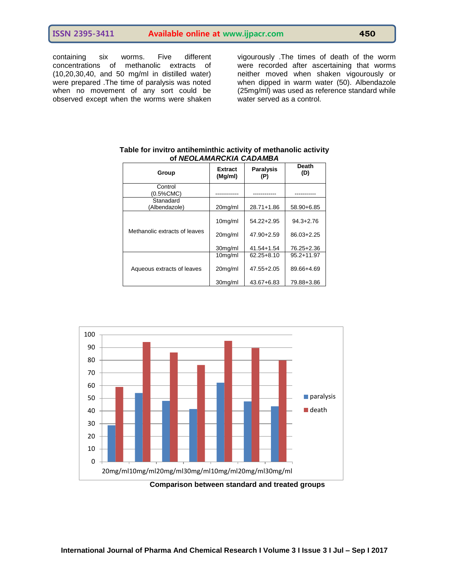containing six worms. Five different concentrations of methanolic extracts of (10,20,30,40, and 50 mg/ml in distilled water) were prepared .The time of paralysis was noted when no movement of any sort could be observed except when the worms were shaken

vigourously .The times of death of the worm were recorded after ascertaining that worms neither moved when shaken vigourously or when dipped in warm water (50). Albendazole (25mg/ml) was used as reference standard while water served as a control.

| Group                         | Extract<br>(Mg/ml) | <b>Paralysis</b><br>(P) | Death<br>(D)   |
|-------------------------------|--------------------|-------------------------|----------------|
| Control<br>(0.5%CMC)          |                    |                         |                |
| Stanadard<br>(Albendazole)    | 20mg/ml            | 28.71+1.86              | 58.90+6.85     |
|                               | $10mq$ /ml         | 54.22+2.95              | $94.3 + 2.76$  |
| Methanolic extracts of leaves | 20mg/ml            | 47.90+2.59              | $86.03 + 2.25$ |
|                               | 30mg/ml            | 41.54+1.54              | 76.25+2.36     |
|                               | $10mq$ /ml         | $62.25 + 8.10$          | $95.2 + 11.97$ |
| Aqueous extracts of leaves    | 20mg/ml            | 47.55+2.05              | 89.66+4.69     |
|                               | 30mg/ml            | 43.67+6.83              | 79.88+3.86     |

#### **Table for invitro antiheminthic activity of methanolic activity of** *NEOLAMARCKIA CADAMBA*